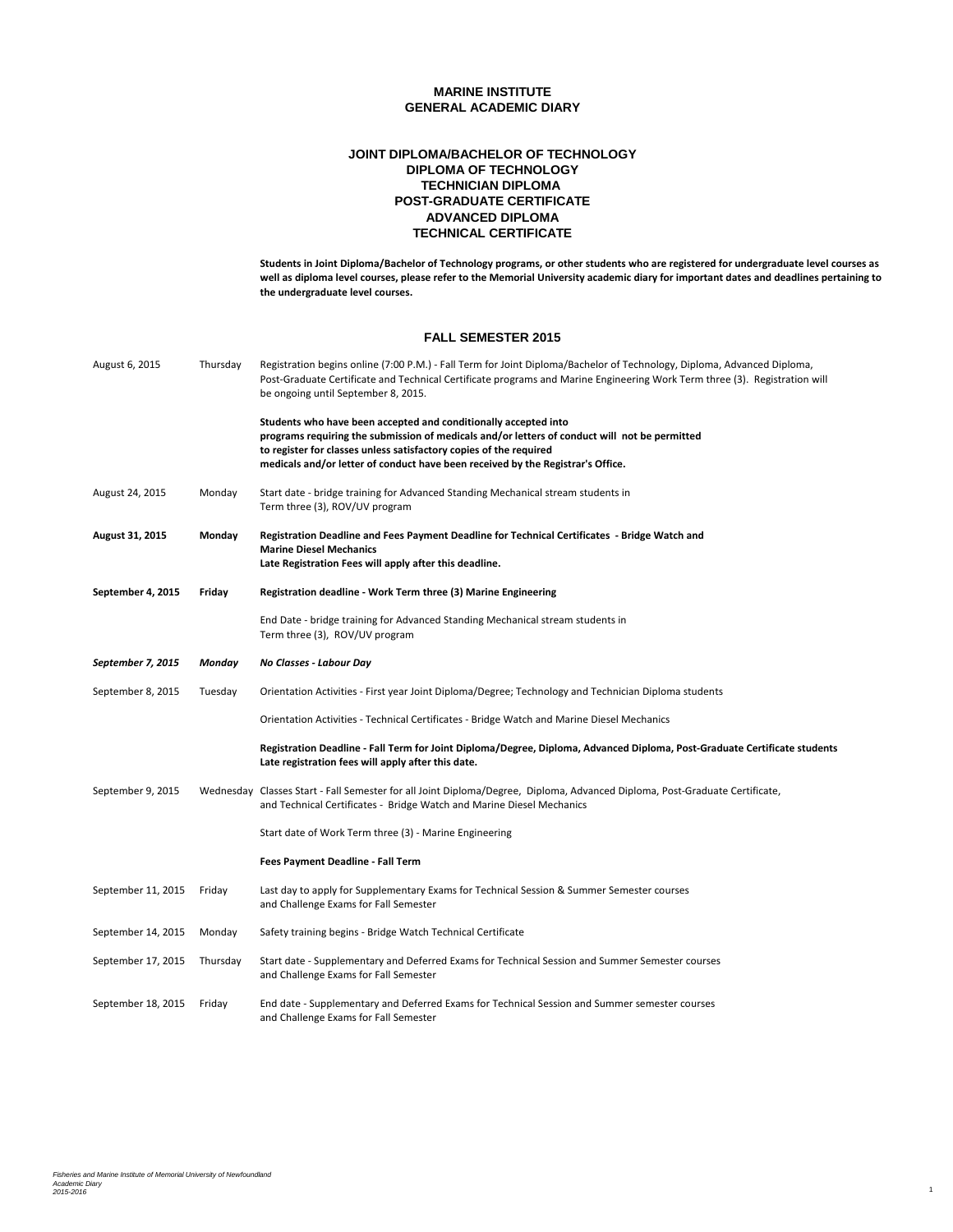### **ADVANCED DIPLOMA TECHNICAL CERTIFICATE POST-GRADUATE CERTIFICATE JOINT DIPLOMA/BACHELOR OF TECHNOLOGY DIPLOMA OF TECHNOLOGY TECHNICIAN DIPLOMA**

**Students in Joint Diploma/Bachelor of Technology programs, or other students who are registered for undergraduate level courses as well as diploma level courses, please refer to the Memorial University academic diary for important dates and deadlines pertaining to the undergraduate level courses.**

#### **FALL SEMESTER 2015**

| August 6, 2015     | Thursday | Registration begins online (7:00 P.M.) - Fall Term for Joint Diploma/Bachelor of Technology, Diploma, Advanced Diploma,<br>Post-Graduate Certificate and Technical Certificate programs and Marine Engineering Work Term three (3). Registration will<br>be ongoing until September 8, 2015.                              |
|--------------------|----------|---------------------------------------------------------------------------------------------------------------------------------------------------------------------------------------------------------------------------------------------------------------------------------------------------------------------------|
|                    |          | Students who have been accepted and conditionally accepted into<br>programs requiring the submission of medicals and/or letters of conduct will not be permitted<br>to register for classes unless satisfactory copies of the required<br>medicals and/or letter of conduct have been received by the Registrar's Office. |
| August 24, 2015    | Monday   | Start date - bridge training for Advanced Standing Mechanical stream students in<br>Term three (3), ROV/UV program                                                                                                                                                                                                        |
| August 31, 2015    | Monday   | Registration Deadline and Fees Payment Deadline for Technical Certificates - Bridge Watch and<br><b>Marine Diesel Mechanics</b><br>Late Registration Fees will apply after this deadline.                                                                                                                                 |
|                    |          |                                                                                                                                                                                                                                                                                                                           |
| September 4, 2015  | Friday   | Registration deadline - Work Term three (3) Marine Engineering                                                                                                                                                                                                                                                            |
|                    |          | End Date - bridge training for Advanced Standing Mechanical stream students in<br>Term three (3), ROV/UV program                                                                                                                                                                                                          |
| September 7, 2015  | Monday   | No Classes - Labour Day                                                                                                                                                                                                                                                                                                   |
| September 8, 2015  | Tuesday  | Orientation Activities - First year Joint Diploma/Degree; Technology and Technician Diploma students                                                                                                                                                                                                                      |
|                    |          | Orientation Activities - Technical Certificates - Bridge Watch and Marine Diesel Mechanics                                                                                                                                                                                                                                |
|                    |          | Registration Deadline - Fall Term for Joint Diploma/Degree, Diploma, Advanced Diploma, Post-Graduate Certificate students<br>Late registration fees will apply after this date.                                                                                                                                           |
| September 9, 2015  |          | Wednesday Classes Start - Fall Semester for all Joint Diploma/Degree, Diploma, Advanced Diploma, Post-Graduate Certificate,<br>and Technical Certificates - Bridge Watch and Marine Diesel Mechanics                                                                                                                      |
|                    |          | Start date of Work Term three (3) - Marine Engineering                                                                                                                                                                                                                                                                    |
|                    |          | Fees Payment Deadline - Fall Term                                                                                                                                                                                                                                                                                         |
| September 11, 2015 | Friday   | Last day to apply for Supplementary Exams for Technical Session & Summer Semester courses<br>and Challenge Exams for Fall Semester                                                                                                                                                                                        |
| September 14, 2015 | Monday   | Safety training begins - Bridge Watch Technical Certificate                                                                                                                                                                                                                                                               |
| September 17, 2015 | Thursday | Start date - Supplementary and Deferred Exams for Technical Session and Summer Semester courses<br>and Challenge Exams for Fall Semester                                                                                                                                                                                  |
| September 18, 2015 | Friday   | End date - Supplementary and Deferred Exams for Technical Session and Summer semester courses<br>and Challenge Exams for Fall Semester                                                                                                                                                                                    |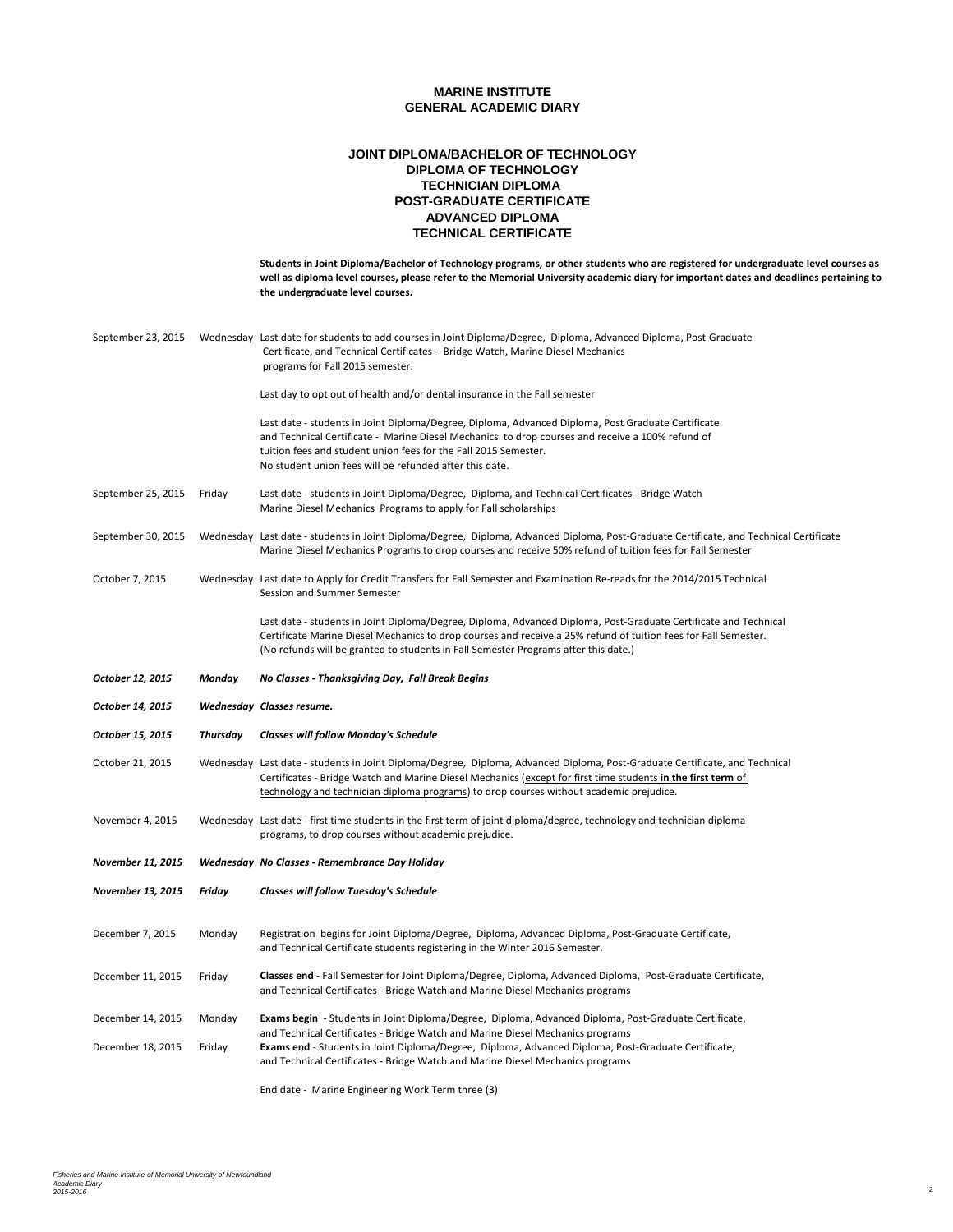### **ADVANCED DIPLOMA TECHNICAL CERTIFICATE POST-GRADUATE CERTIFICATE JOINT DIPLOMA/BACHELOR OF TECHNOLOGY DIPLOMA OF TECHNOLOGY TECHNICIAN DIPLOMA**

|                    |          | Students in Joint Diploma/Bachelor of Technology programs, or other students who are registered for undergraduate level courses as<br>well as diploma level courses, please refer to the Memorial University academic diary for important dates and deadlines pertaining to<br>the undergraduate level courses.                        |
|--------------------|----------|----------------------------------------------------------------------------------------------------------------------------------------------------------------------------------------------------------------------------------------------------------------------------------------------------------------------------------------|
| September 23, 2015 |          | Wednesday Last date for students to add courses in Joint Diploma/Degree, Diploma, Advanced Diploma, Post-Graduate<br>Certificate, and Technical Certificates - Bridge Watch, Marine Diesel Mechanics<br>programs for Fall 2015 semester.                                                                                               |
|                    |          | Last day to opt out of health and/or dental insurance in the Fall semester                                                                                                                                                                                                                                                             |
|                    |          | Last date - students in Joint Diploma/Degree, Diploma, Advanced Diploma, Post Graduate Certificate<br>and Technical Certificate - Marine Diesel Mechanics to drop courses and receive a 100% refund of<br>tuition fees and student union fees for the Fall 2015 Semester.<br>No student union fees will be refunded after this date.   |
| September 25, 2015 | Friday   | Last date - students in Joint Diploma/Degree, Diploma, and Technical Certificates - Bridge Watch<br>Marine Diesel Mechanics Programs to apply for Fall scholarships                                                                                                                                                                    |
| September 30, 2015 |          | Wednesday Last date - students in Joint Diploma/Degree, Diploma, Advanced Diploma, Post-Graduate Certificate, and Technical Certificate<br>Marine Diesel Mechanics Programs to drop courses and receive 50% refund of tuition fees for Fall Semester                                                                                   |
| October 7, 2015    |          | Wednesday Last date to Apply for Credit Transfers for Fall Semester and Examination Re-reads for the 2014/2015 Technical<br>Session and Summer Semester                                                                                                                                                                                |
|                    |          | Last date - students in Joint Diploma/Degree, Diploma, Advanced Diploma, Post-Graduate Certificate and Technical<br>Certificate Marine Diesel Mechanics to drop courses and receive a 25% refund of tuition fees for Fall Semester.<br>(No refunds will be granted to students in Fall Semester Programs after this date.)             |
|                    |          |                                                                                                                                                                                                                                                                                                                                        |
| October 12, 2015   | Monday   | No Classes - Thanksgiving Day, Fall Break Begins                                                                                                                                                                                                                                                                                       |
| October 14, 2015   |          | Wednesday Classes resume.                                                                                                                                                                                                                                                                                                              |
| October 15, 2015   | Thursday | <b>Classes will follow Monday's Schedule</b>                                                                                                                                                                                                                                                                                           |
| October 21, 2015   |          | Wednesday Last date - students in Joint Diploma/Degree, Diploma, Advanced Diploma, Post-Graduate Certificate, and Technical<br>Certificates - Bridge Watch and Marine Diesel Mechanics (except for first time students in the first term of<br>technology and technician diploma programs) to drop courses without academic prejudice. |
| November 4, 2015   |          | Wednesday Last date - first time students in the first term of joint diploma/degree, technology and technician diploma<br>programs, to drop courses without academic prejudice.                                                                                                                                                        |
| November 11, 2015  |          | Wednesday No Classes - Remembrance Day Holiday                                                                                                                                                                                                                                                                                         |
| November 13, 2015  | Friday   | <b>Classes will follow Tuesday's Schedule</b>                                                                                                                                                                                                                                                                                          |
| December 7, 2015   | Monday   | Registration begins for Joint Diploma/Degree, Diploma, Advanced Diploma, Post-Graduate Certificate,<br>and Technical Certificate students registering in the Winter 2016 Semester.                                                                                                                                                     |
| December 11, 2015  | Friday   | Classes end - Fall Semester for Joint Diploma/Degree, Diploma, Advanced Diploma, Post-Graduate Certificate,<br>and Technical Certificates - Bridge Watch and Marine Diesel Mechanics programs                                                                                                                                          |
| December 14, 2015  | Monday   | <b>Exams begin</b> - Students in Joint Diploma/Degree, Diploma, Advanced Diploma, Post-Graduate Certificate,                                                                                                                                                                                                                           |
| December 18, 2015  | Friday   | and Technical Certificates - Bridge Watch and Marine Diesel Mechanics programs<br>Exams end - Students in Joint Diploma/Degree, Diploma, Advanced Diploma, Post-Graduate Certificate,<br>and Technical Certificates - Bridge Watch and Marine Diesel Mechanics programs                                                                |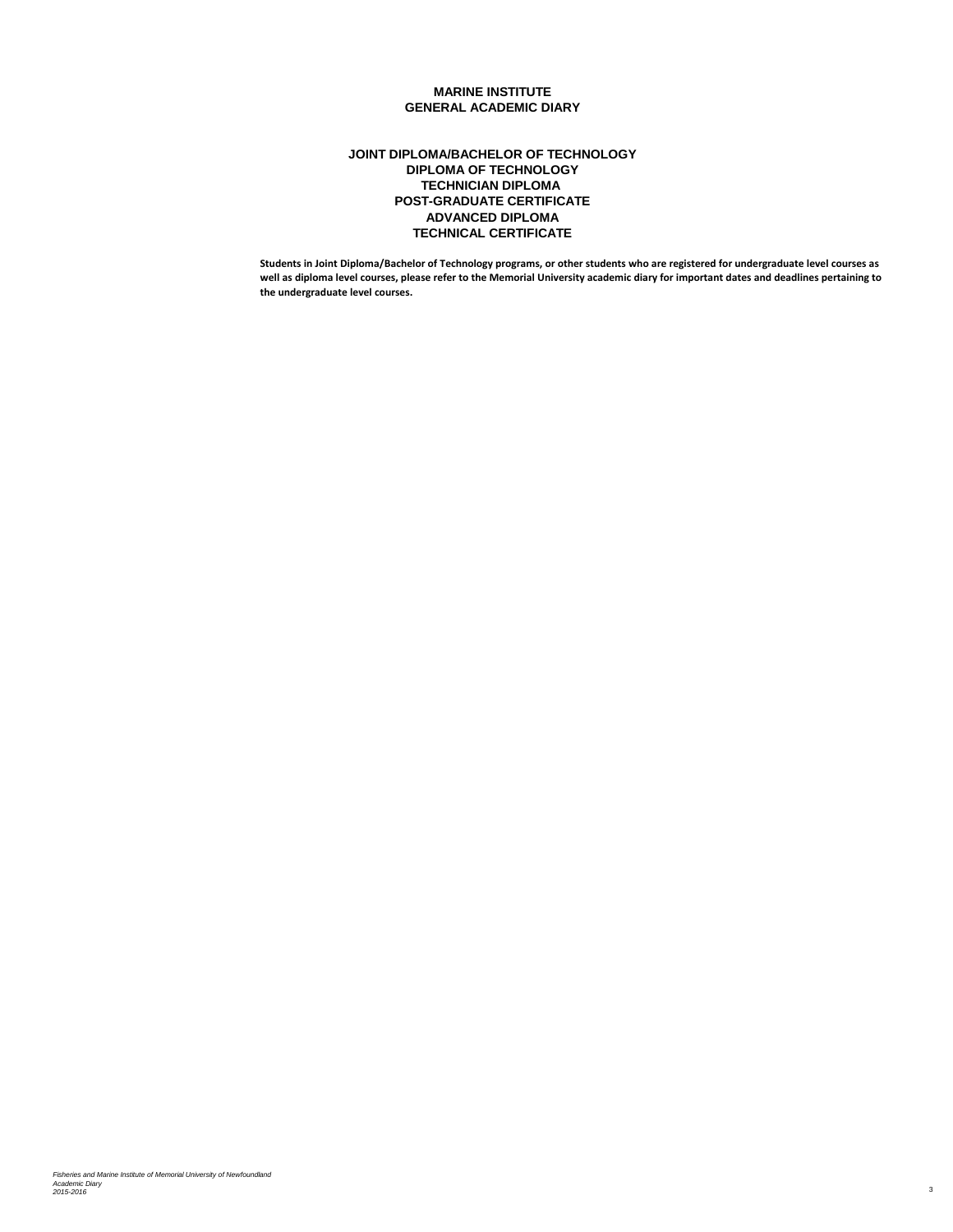### **ADVANCED DIPLOMA TECHNICAL CERTIFICATE POST-GRADUATE CERTIFICATE JOINT DIPLOMA/BACHELOR OF TECHNOLOGY DIPLOMA OF TECHNOLOGY TECHNICIAN DIPLOMA**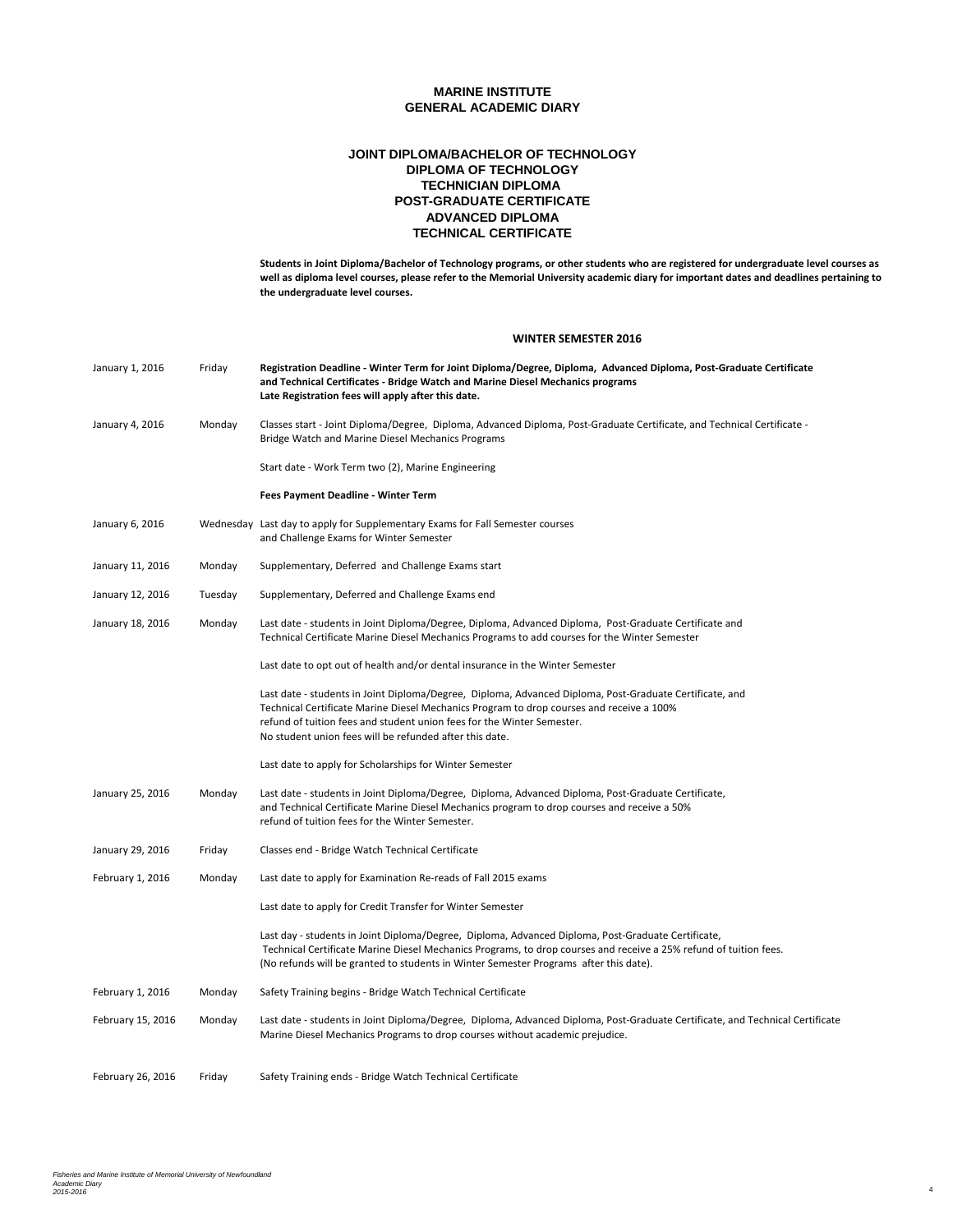### **ADVANCED DIPLOMA TECHNICAL CERTIFICATE POST-GRADUATE CERTIFICATE JOINT DIPLOMA/BACHELOR OF TECHNOLOGY DIPLOMA OF TECHNOLOGY TECHNICIAN DIPLOMA**

**Students in Joint Diploma/Bachelor of Technology programs, or other students who are registered for undergraduate level courses as well as diploma level courses, please refer to the Memorial University academic diary for important dates and deadlines pertaining to the undergraduate level courses.**

#### **WINTER SEMESTER 2016**

| January 1, 2016                                                                                                                             | Friday  | Registration Deadline - Winter Term for Joint Diploma/Degree, Diploma, Advanced Diploma, Post-Graduate Certificate<br>and Technical Certificates - Bridge Watch and Marine Diesel Mechanics programs<br>Late Registration fees will apply after this date.                                                                               |
|---------------------------------------------------------------------------------------------------------------------------------------------|---------|------------------------------------------------------------------------------------------------------------------------------------------------------------------------------------------------------------------------------------------------------------------------------------------------------------------------------------------|
| January 4, 2016                                                                                                                             | Monday  | Classes start - Joint Diploma/Degree, Diploma, Advanced Diploma, Post-Graduate Certificate, and Technical Certificate -<br>Bridge Watch and Marine Diesel Mechanics Programs                                                                                                                                                             |
|                                                                                                                                             |         | Start date - Work Term two (2), Marine Engineering                                                                                                                                                                                                                                                                                       |
|                                                                                                                                             |         | Fees Payment Deadline - Winter Term                                                                                                                                                                                                                                                                                                      |
| January 6, 2016<br>Wednesday Last day to apply for Supplementary Exams for Fall Semester courses<br>and Challenge Exams for Winter Semester |         |                                                                                                                                                                                                                                                                                                                                          |
| January 11, 2016                                                                                                                            | Monday  | Supplementary, Deferred and Challenge Exams start                                                                                                                                                                                                                                                                                        |
| January 12, 2016                                                                                                                            | Tuesday | Supplementary, Deferred and Challenge Exams end                                                                                                                                                                                                                                                                                          |
| January 18, 2016                                                                                                                            | Monday  | Last date - students in Joint Diploma/Degree, Diploma, Advanced Diploma, Post-Graduate Certificate and<br>Technical Certificate Marine Diesel Mechanics Programs to add courses for the Winter Semester                                                                                                                                  |
|                                                                                                                                             |         | Last date to opt out of health and/or dental insurance in the Winter Semester                                                                                                                                                                                                                                                            |
|                                                                                                                                             |         | Last date - students in Joint Diploma/Degree, Diploma, Advanced Diploma, Post-Graduate Certificate, and<br>Technical Certificate Marine Diesel Mechanics Program to drop courses and receive a 100%<br>refund of tuition fees and student union fees for the Winter Semester.<br>No student union fees will be refunded after this date. |
|                                                                                                                                             |         | Last date to apply for Scholarships for Winter Semester                                                                                                                                                                                                                                                                                  |
| January 25, 2016                                                                                                                            | Monday  | Last date - students in Joint Diploma/Degree, Diploma, Advanced Diploma, Post-Graduate Certificate,<br>and Technical Certificate Marine Diesel Mechanics program to drop courses and receive a 50%<br>refund of tuition fees for the Winter Semester.                                                                                    |
| January 29, 2016                                                                                                                            | Friday  | Classes end - Bridge Watch Technical Certificate                                                                                                                                                                                                                                                                                         |
| February 1, 2016                                                                                                                            | Monday  | Last date to apply for Examination Re-reads of Fall 2015 exams                                                                                                                                                                                                                                                                           |
|                                                                                                                                             |         | Last date to apply for Credit Transfer for Winter Semester                                                                                                                                                                                                                                                                               |
|                                                                                                                                             |         | Last day - students in Joint Diploma/Degree, Diploma, Advanced Diploma, Post-Graduate Certificate,<br>Technical Certificate Marine Diesel Mechanics Programs, to drop courses and receive a 25% refund of tuition fees.<br>(No refunds will be granted to students in Winter Semester Programs after this date).                         |
| February 1, 2016                                                                                                                            | Monday  | Safety Training begins - Bridge Watch Technical Certificate                                                                                                                                                                                                                                                                              |
| February 15, 2016                                                                                                                           | Monday  | Last date - students in Joint Diploma/Degree, Diploma, Advanced Diploma, Post-Graduate Certificate, and Technical Certificate<br>Marine Diesel Mechanics Programs to drop courses without academic prejudice.                                                                                                                            |
| February 26, 2016                                                                                                                           | Friday  | Safety Training ends - Bridge Watch Technical Certificate                                                                                                                                                                                                                                                                                |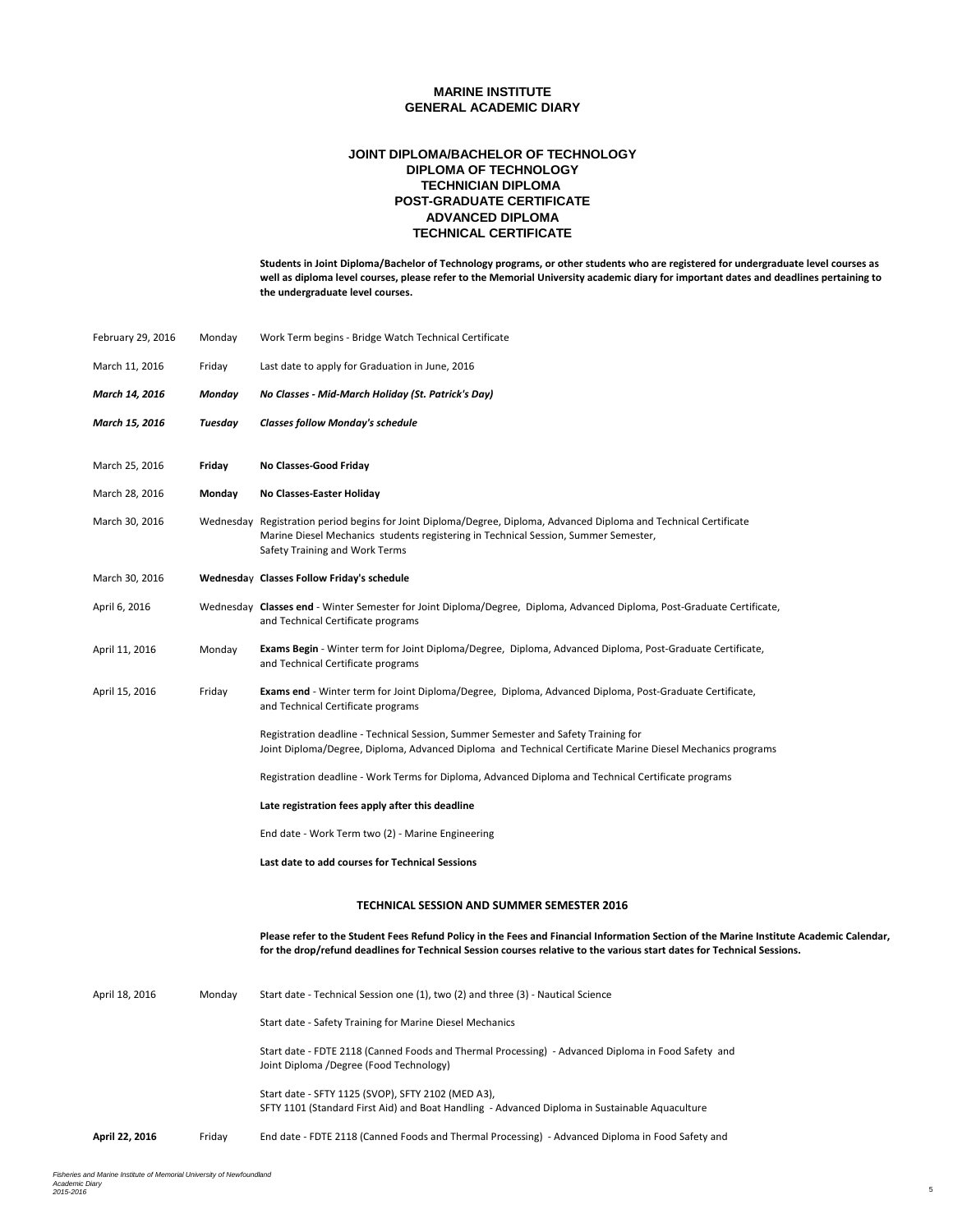### **ADVANCED DIPLOMA TECHNICAL CERTIFICATE POST-GRADUATE CERTIFICATE JOINT DIPLOMA/BACHELOR OF TECHNOLOGY DIPLOMA OF TECHNOLOGY TECHNICIAN DIPLOMA**

| February 29, 2016                                                                                     | Monday  | Work Term begins - Bridge Watch Technical Certificate                                                                                                                                                                                                              |  |
|-------------------------------------------------------------------------------------------------------|---------|--------------------------------------------------------------------------------------------------------------------------------------------------------------------------------------------------------------------------------------------------------------------|--|
| March 11, 2016                                                                                        | Friday  | Last date to apply for Graduation in June, 2016                                                                                                                                                                                                                    |  |
| March 14, 2016                                                                                        | Monday  | No Classes - Mid-March Holiday (St. Patrick's Day)                                                                                                                                                                                                                 |  |
| March 15, 2016                                                                                        | Tuesday | <b>Classes follow Monday's schedule</b>                                                                                                                                                                                                                            |  |
|                                                                                                       |         |                                                                                                                                                                                                                                                                    |  |
| March 25, 2016                                                                                        | Friday  | No Classes-Good Friday                                                                                                                                                                                                                                             |  |
| March 28, 2016                                                                                        | Monday  | No Classes-Easter Holiday                                                                                                                                                                                                                                          |  |
| March 30, 2016                                                                                        |         | Wednesday Registration period begins for Joint Diploma/Degree, Diploma, Advanced Diploma and Technical Certificate<br>Marine Diesel Mechanics students registering in Technical Session, Summer Semester,<br>Safety Training and Work Terms                        |  |
| March 30, 2016                                                                                        |         | Wednesday Classes Follow Friday's schedule                                                                                                                                                                                                                         |  |
| April 6, 2016                                                                                         |         | Wednesday Classes end - Winter Semester for Joint Diploma/Degree, Diploma, Advanced Diploma, Post-Graduate Certificate,<br>and Technical Certificate programs                                                                                                      |  |
| April 11, 2016                                                                                        | Monday  | Exams Begin - Winter term for Joint Diploma/Degree, Diploma, Advanced Diploma, Post-Graduate Certificate,<br>and Technical Certificate programs                                                                                                                    |  |
| April 15, 2016                                                                                        | Friday  | Exams end - Winter term for Joint Diploma/Degree, Diploma, Advanced Diploma, Post-Graduate Certificate,<br>and Technical Certificate programs                                                                                                                      |  |
|                                                                                                       |         | Registration deadline - Technical Session, Summer Semester and Safety Training for<br>Joint Diploma/Degree, Diploma, Advanced Diploma and Technical Certificate Marine Diesel Mechanics programs                                                                   |  |
|                                                                                                       |         | Registration deadline - Work Terms for Diploma, Advanced Diploma and Technical Certificate programs                                                                                                                                                                |  |
| Late registration fees apply after this deadline<br>End date - Work Term two (2) - Marine Engineering |         |                                                                                                                                                                                                                                                                    |  |
|                                                                                                       |         |                                                                                                                                                                                                                                                                    |  |
| Last date to add courses for Technical Sessions                                                       |         |                                                                                                                                                                                                                                                                    |  |
|                                                                                                       |         | TECHNICAL SESSION AND SUMMER SEMESTER 2016                                                                                                                                                                                                                         |  |
|                                                                                                       |         | Please refer to the Student Fees Refund Policy in the Fees and Financial Information Section of the Marine Institute Academic Calendar,<br>for the drop/refund deadlines for Technical Session courses relative to the various start dates for Technical Sessions. |  |
| April 18, 2016                                                                                        | Monday  | Start date - Technical Session one (1), two (2) and three (3) - Nautical Science                                                                                                                                                                                   |  |
|                                                                                                       |         | Start date - Safety Training for Marine Diesel Mechanics                                                                                                                                                                                                           |  |
|                                                                                                       |         | Start date - FDTE 2118 (Canned Foods and Thermal Processing) - Advanced Diploma in Food Safety and<br>Joint Diploma /Degree (Food Technology)                                                                                                                      |  |
|                                                                                                       |         | Start date - SFTY 1125 (SVOP), SFTY 2102 (MED A3),<br>SFTY 1101 (Standard First Aid) and Boat Handling - Advanced Diploma in Sustainable Aquaculture                                                                                                               |  |
| April 22, 2016                                                                                        | Friday  | End date - FDTE 2118 (Canned Foods and Thermal Processing) - Advanced Diploma in Food Safety and                                                                                                                                                                   |  |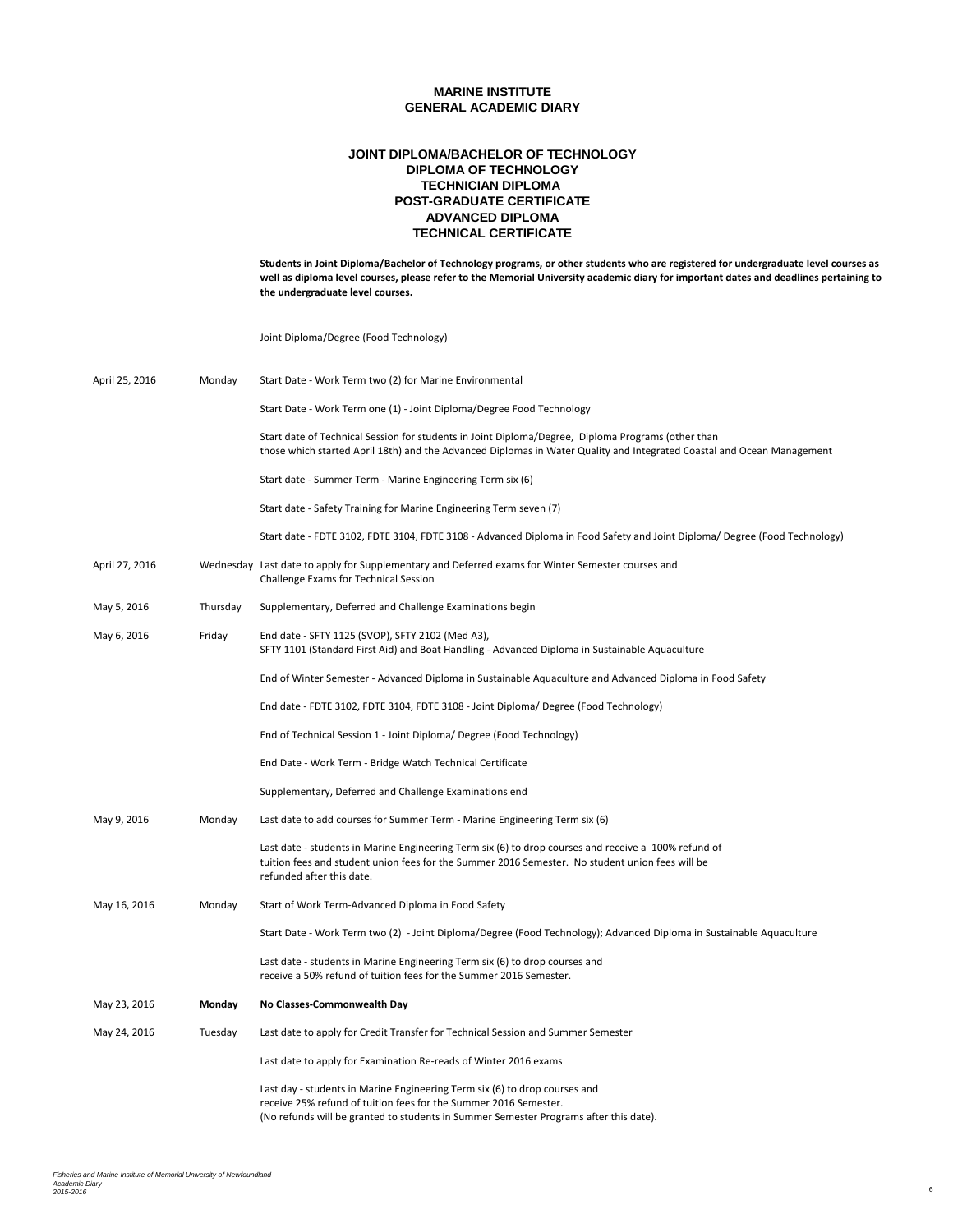## **ADVANCED DIPLOMA TECHNICAL CERTIFICATE POST-GRADUATE CERTIFICATE JOINT DIPLOMA/BACHELOR OF TECHNOLOGY DIPLOMA OF TECHNOLOGY TECHNICIAN DIPLOMA**

**Students in Joint Diploma/Bachelor of Technology programs, or other students who are registered for undergraduate level courses as well as diploma level courses, please refer to the Memorial University academic diary for important dates and deadlines pertaining to the undergraduate level courses.**

Joint Diploma/Degree (Food Technology)

| April 25, 2016 | Monday   | Start Date - Work Term two (2) for Marine Environmental                                                                                                                                                                                 |
|----------------|----------|-----------------------------------------------------------------------------------------------------------------------------------------------------------------------------------------------------------------------------------------|
|                |          | Start Date - Work Term one (1) - Joint Diploma/Degree Food Technology                                                                                                                                                                   |
|                |          | Start date of Technical Session for students in Joint Diploma/Degree, Diploma Programs (other than<br>those which started April 18th) and the Advanced Diplomas in Water Quality and Integrated Coastal and Ocean Management            |
|                |          | Start date - Summer Term - Marine Engineering Term six (6)                                                                                                                                                                              |
|                |          | Start date - Safety Training for Marine Engineering Term seven (7)                                                                                                                                                                      |
|                |          | Start date - FDTE 3102, FDTE 3104, FDTE 3108 - Advanced Diploma in Food Safety and Joint Diploma/ Degree (Food Technology)                                                                                                              |
| April 27, 2016 |          | Wednesday Last date to apply for Supplementary and Deferred exams for Winter Semester courses and<br>Challenge Exams for Technical Session                                                                                              |
| May 5, 2016    | Thursday | Supplementary, Deferred and Challenge Examinations begin                                                                                                                                                                                |
| May 6, 2016    | Friday   | End date - SFTY 1125 (SVOP), SFTY 2102 (Med A3),<br>SFTY 1101 (Standard First Aid) and Boat Handling - Advanced Diploma in Sustainable Aquaculture                                                                                      |
|                |          | End of Winter Semester - Advanced Diploma in Sustainable Aquaculture and Advanced Diploma in Food Safety                                                                                                                                |
|                |          | End date - FDTE 3102, FDTE 3104, FDTE 3108 - Joint Diploma/ Degree (Food Technology)                                                                                                                                                    |
|                |          | End of Technical Session 1 - Joint Diploma/ Degree (Food Technology)                                                                                                                                                                    |
|                |          | End Date - Work Term - Bridge Watch Technical Certificate                                                                                                                                                                               |
|                |          | Supplementary, Deferred and Challenge Examinations end                                                                                                                                                                                  |
| May 9, 2016    | Monday   | Last date to add courses for Summer Term - Marine Engineering Term six (6)                                                                                                                                                              |
|                |          | Last date - students in Marine Engineering Term six (6) to drop courses and receive a 100% refund of<br>tuition fees and student union fees for the Summer 2016 Semester. No student union fees will be<br>refunded after this date.    |
| May 16, 2016   | Monday   | Start of Work Term-Advanced Diploma in Food Safety                                                                                                                                                                                      |
|                |          | Start Date - Work Term two (2) - Joint Diploma/Degree (Food Technology); Advanced Diploma in Sustainable Aquaculture                                                                                                                    |
|                |          | Last date - students in Marine Engineering Term six (6) to drop courses and<br>receive a 50% refund of tuition fees for the Summer 2016 Semester.                                                                                       |
| May 23, 2016   | Monday   | No Classes-Commonwealth Day                                                                                                                                                                                                             |
| May 24, 2016   | Tuesday  | Last date to apply for Credit Transfer for Technical Session and Summer Semester                                                                                                                                                        |
|                |          | Last date to apply for Examination Re-reads of Winter 2016 exams                                                                                                                                                                        |
|                |          | Last day - students in Marine Engineering Term six (6) to drop courses and<br>receive 25% refund of tuition fees for the Summer 2016 Semester.<br>(No refunds will be granted to students in Summer Semester Programs after this date). |
|                |          |                                                                                                                                                                                                                                         |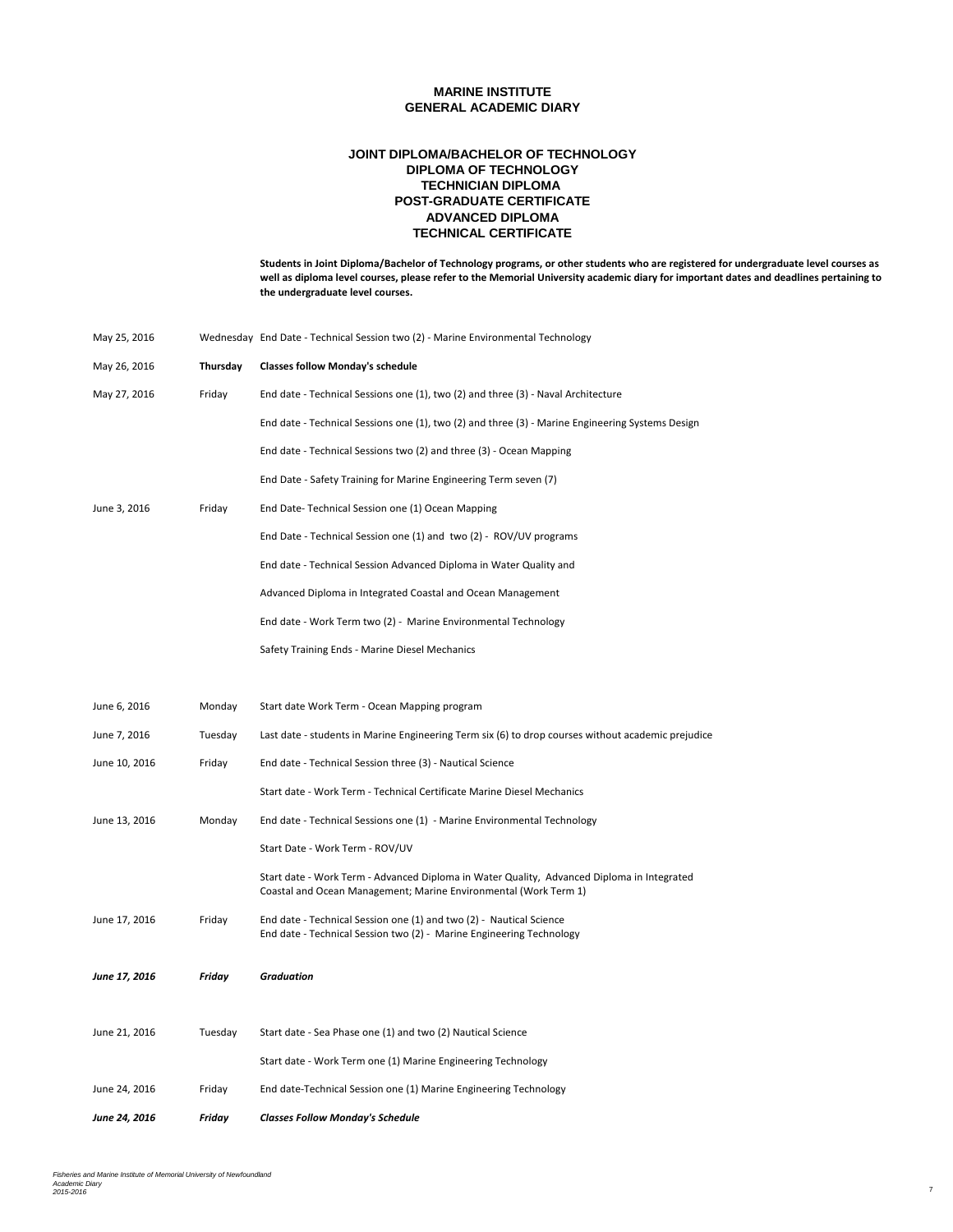### **ADVANCED DIPLOMA TECHNICAL CERTIFICATE POST-GRADUATE CERTIFICATE JOINT DIPLOMA/BACHELOR OF TECHNOLOGY DIPLOMA OF TECHNOLOGY TECHNICIAN DIPLOMA**

| May 25, 2016         |          | Wednesday End Date - Technical Session two (2) - Marine Environmental Technology                                                                               |
|----------------------|----------|----------------------------------------------------------------------------------------------------------------------------------------------------------------|
| May 26, 2016         | Thursday | <b>Classes follow Monday's schedule</b>                                                                                                                        |
| May 27, 2016         | Friday   | End date - Technical Sessions one (1), two (2) and three (3) - Naval Architecture                                                                              |
|                      |          | End date - Technical Sessions one (1), two (2) and three (3) - Marine Engineering Systems Design                                                               |
|                      |          | End date - Technical Sessions two (2) and three (3) - Ocean Mapping                                                                                            |
|                      |          | End Date - Safety Training for Marine Engineering Term seven (7)                                                                                               |
| June 3, 2016         | Friday   | End Date-Technical Session one (1) Ocean Mapping                                                                                                               |
|                      |          | End Date - Technical Session one (1) and two (2) - ROV/UV programs                                                                                             |
|                      |          | End date - Technical Session Advanced Diploma in Water Quality and                                                                                             |
|                      |          | Advanced Diploma in Integrated Coastal and Ocean Management                                                                                                    |
|                      |          | End date - Work Term two (2) - Marine Environmental Technology                                                                                                 |
|                      |          | Safety Training Ends - Marine Diesel Mechanics                                                                                                                 |
|                      |          |                                                                                                                                                                |
| June 6, 2016         | Monday   | Start date Work Term - Ocean Mapping program                                                                                                                   |
| June 7, 2016         | Tuesday  | Last date - students in Marine Engineering Term six (6) to drop courses without academic prejudice                                                             |
| June 10, 2016        | Friday   | End date - Technical Session three (3) - Nautical Science                                                                                                      |
|                      |          | Start date - Work Term - Technical Certificate Marine Diesel Mechanics                                                                                         |
| June 13, 2016        | Monday   | End date - Technical Sessions one (1) - Marine Environmental Technology                                                                                        |
|                      |          | Start Date - Work Term - ROV/UV                                                                                                                                |
|                      |          | Start date - Work Term - Advanced Diploma in Water Quality, Advanced Diploma in Integrated<br>Coastal and Ocean Management; Marine Environmental (Work Term 1) |
| June 17, 2016        | Friday   | End date - Technical Session one (1) and two (2) - Nautical Science<br>End date - Technical Session two (2) - Marine Engineering Technology                    |
| June 17, 2016        | Friday   | <b>Graduation</b>                                                                                                                                              |
|                      |          |                                                                                                                                                                |
| June 21, 2016        | Tuesday  | Start date - Sea Phase one (1) and two (2) Nautical Science                                                                                                    |
|                      |          | Start date - Work Term one (1) Marine Engineering Technology                                                                                                   |
| June 24, 2016        | Friday   | End date-Technical Session one (1) Marine Engineering Technology                                                                                               |
| <b>June 24, 2016</b> | Friday   | <b>Classes Follow Monday's Schedule</b>                                                                                                                        |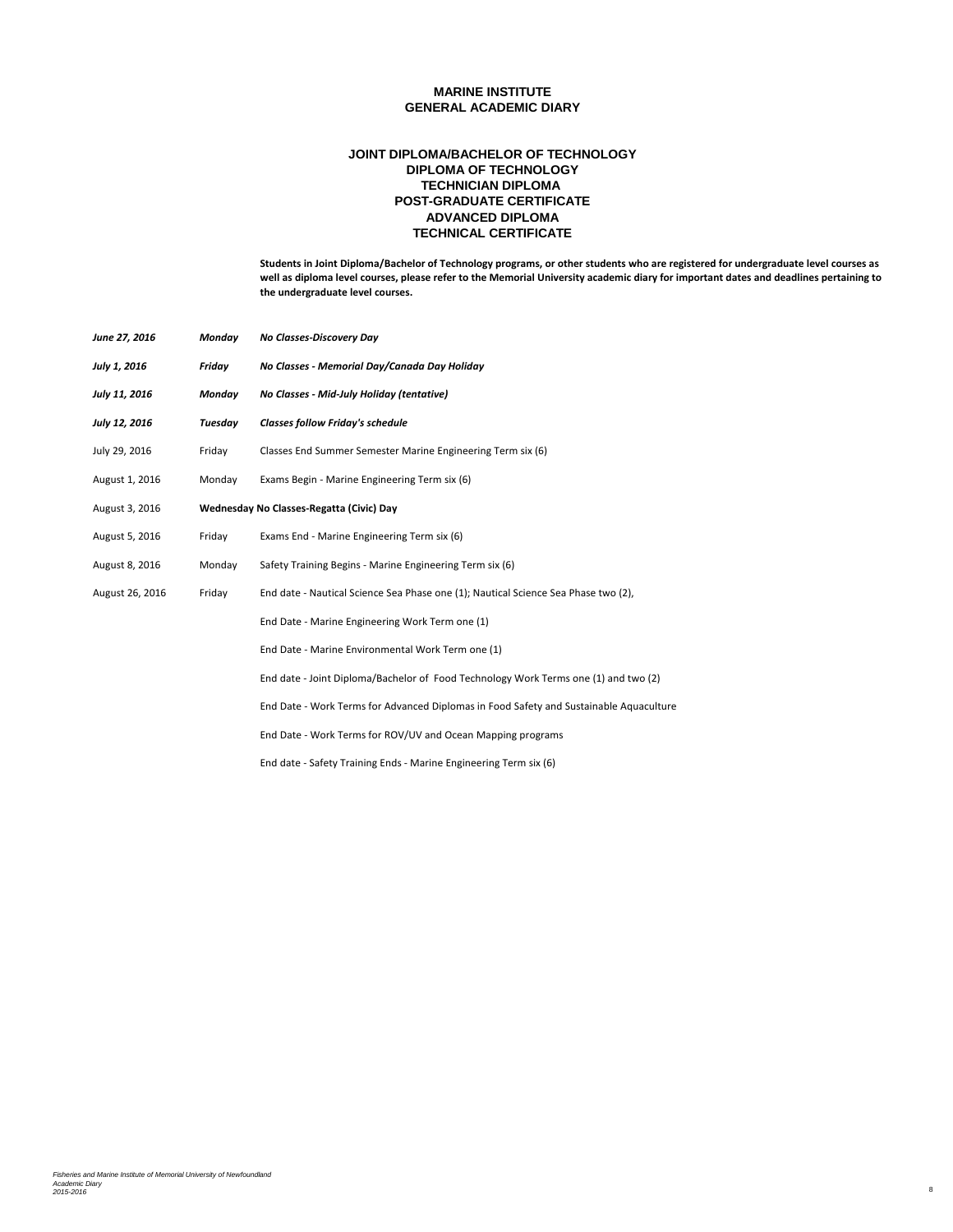### **ADVANCED DIPLOMA TECHNICAL CERTIFICATE POST-GRADUATE CERTIFICATE JOINT DIPLOMA/BACHELOR OF TECHNOLOGY DIPLOMA OF TECHNOLOGY TECHNICIAN DIPLOMA**

| June 27, 2016   | Monday  | No Classes-Discovery Day                                                               |
|-----------------|---------|----------------------------------------------------------------------------------------|
| July 1, 2016    | Friday  | No Classes - Memorial Day/Canada Day Holiday                                           |
| July 11, 2016   | Monday  | No Classes - Mid-July Holiday (tentative)                                              |
| July 12, 2016   | Tuesday | <b>Classes follow Friday's schedule</b>                                                |
| July 29, 2016   | Friday  | Classes End Summer Semester Marine Engineering Term six (6)                            |
| August 1, 2016  | Monday  | Exams Begin - Marine Engineering Term six (6)                                          |
| August 3, 2016  |         | Wednesday No Classes-Regatta (Civic) Day                                               |
| August 5, 2016  | Friday  | Exams End - Marine Engineering Term six (6)                                            |
| August 8, 2016  | Monday  | Safety Training Begins - Marine Engineering Term six (6)                               |
| August 26, 2016 | Friday  | End date - Nautical Science Sea Phase one (1); Nautical Science Sea Phase two (2),     |
|                 |         | End Date - Marine Engineering Work Term one (1)                                        |
|                 |         | End Date - Marine Environmental Work Term one (1)                                      |
|                 |         | End date - Joint Diploma/Bachelor of Food Technology Work Terms one (1) and two (2)    |
|                 |         | End Date - Work Terms for Advanced Diplomas in Food Safety and Sustainable Aquaculture |
|                 |         | End Date - Work Terms for ROV/UV and Ocean Mapping programs                            |
|                 |         | End date - Safety Training Ends - Marine Engineering Term six (6)                      |